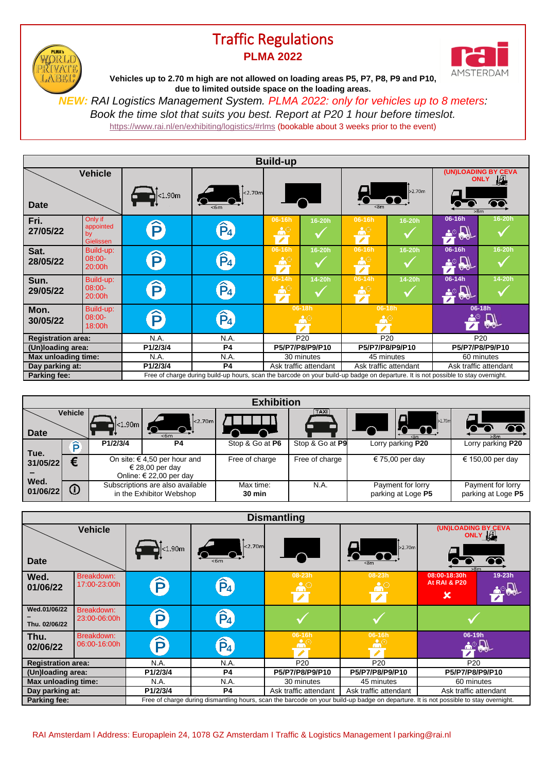## Traffic Regulations **PLMA 2022**

PLMA! **YORL** RIWAT

**LABE** 



**Vehicles up to 2.70 m high are not allowed on loading areas P5, P7, P8, P9 and P10, due to limited outside space on the loading areas.**

*NEW: RAI Logistics Management System. PLMA 2022: only for vehicles up to 8 meters: Book the time slot that suits you best. Report at P20 1 hour before timeslot.* <https://www.rai.nl/en/exhibiting/logistics/#rlms> (bookable about 3 weeks prior to the event)

**Passenger vehicles are not allowed on loading areas P5, P8, P9 and P10, Build-up (UN)LOADING BY CEVA Vehicle due to limited outside space on the loading areas. ONLY** >2.70m  $<sub>1.90m</sub>$ </sub> ര **Date**  $\overline{8m}$  $\overline{\phantom{1}6m}$ Only if **06-16h 16-20h Fri. 06-16h 16-20h 06-16h 16-20h** Ê appointed  $\hat{P}_4$  $\checkmark$  $\checkmark$  $\checkmark$ **27/05/22** by  $\overline{\phantom{a}}$ **Gielissen 06-16h 16-20h 06-16h 16-20h 06-16h 16-20h Sat.** Build-up:  $\widehat{P}$  $\hat{P}_4$  $\triangle^{\circ}$  $\checkmark$ 08:00-  $\checkmark$  $\checkmark$ **28/05/22** 20:00h **06-14h 14-20h Sun.** Build-up: **06-14h 14-20h 06-14h 14-20h**  $\mathbf{\hat{P}}$  $\hat{P}_4$ 08:00-  $\checkmark$  $\checkmark$  $\checkmark$ **29/05/22** 20:00h **Mon.** Build-up: **06-18h 06-18h 06-18h**  $\widehat{\mathsf{P}}$  $\hat{P}_4$ 08:00- **30/05/22** 18:00h ◢ **Registration area:** N.A. N.A. N.A. P20 P20 P20 P20 P20<br>
(Un)loading area: P1/2/3/4 P4 P5/P7/P8/P9/P10 P5/P7/P8/P9/P10 P5/P7/P8/P9/P10  $\overline{(Un)$  *<u>Diagonal</u>* **Phono P5 Max unloading time:** N.A. N.A. N.A. 30 minutes 45 minutes 60 minutes 60 minutes **Day parking at: P1/2/3/4 P4** Ask traffic attendant Ask traffic attendant Ask traffic attendant Parking fee: Free of charge during build-up hours, scan the barcode on your build-up badge on departure. It is not possible to stay overnight.

| <b>Exhibition</b>                    |                                              |                                                                                    |                            |                     |                 |                                         |                                         |  |  |  |  |
|--------------------------------------|----------------------------------------------|------------------------------------------------------------------------------------|----------------------------|---------------------|-----------------|-----------------------------------------|-----------------------------------------|--|--|--|--|
| <b>Date</b>                          | <b>Vehicle</b>                               | ıl<1.90m l                                                                         | <sub>2.70m</sub><br>$<$ 6m |                     | <b>TAXI</b>     | 2.70m                                   | Ωr<br>>8 <sub>m</sub>                   |  |  |  |  |
| Tue.<br>31/05/22<br>Wed.<br>01/06/22 | ô                                            | P1/2/3/4                                                                           | P <sub>4</sub>             | Stop & Go at P6     | Stop & Go at P9 | Lorry parking P20                       | Lorry parking P20                       |  |  |  |  |
|                                      | €                                            | On site: $\in$ 4,50 per hour and<br>€ 28,00 per day<br>Online: $\in$ 22,00 per day |                            | Free of charge      | Free of charge  | € 75,00 per day                         | € 150,00 per day                        |  |  |  |  |
|                                      | $\hspace{.1cm} \textcircled{\scriptsize{1}}$ | Subscriptions are also available<br>in the Exhibitor Webshop                       |                            | Max time:<br>30 min | N.A.            | Payment for lorry<br>parking at Loge P5 | Payment for lorry<br>parking at Loge P5 |  |  |  |  |

| <b>Dismantling</b>            |                            |                                                                                                                                      |                |                       |                         |                                                        |  |  |  |  |  |
|-------------------------------|----------------------------|--------------------------------------------------------------------------------------------------------------------------------------|----------------|-----------------------|-------------------------|--------------------------------------------------------|--|--|--|--|--|
|                               | <b>Vehicle</b>             |                                                                                                                                      |                |                       |                         | (UN)LOADING BY CEVA<br>ONLY LI                         |  |  |  |  |  |
| Date                          |                            | $\vert$ <1.90m                                                                                                                       | $\vert$ <2.70m |                       | >2.70m                  | $\bullet$<br>>8 <sub>m</sub>                           |  |  |  |  |  |
| Wed.<br>01/06/22              | Breakdown:<br>17:00-23:00h | $\widehat{\mathsf{P}}$                                                                                                               | $\hat{P}_4$    | 08-23h                | 08-23h<br>$\mathcal{L}$ | 19-23h<br>08:00-18:30h<br><b>At RAI &amp; P20</b><br>× |  |  |  |  |  |
| Wed.01/06/22<br>Thu. 02/06/22 | Breakdown:<br>23:00-06:00h | $\mathbf{\widehat{p}}$                                                                                                               | $\hat{P}_4$    |                       |                         |                                                        |  |  |  |  |  |
| Thu.<br>02/06/22              | Breakdown:<br>06:00-16:00h | P                                                                                                                                    | $\hat{P}_4$    | 06-16h                | 06-16h                  | 06-19h<br>$\Box$                                       |  |  |  |  |  |
| <b>Registration area:</b>     |                            | N.A.                                                                                                                                 | N.A.           | P <sub>20</sub>       | P <sub>20</sub>         | P <sub>20</sub>                                        |  |  |  |  |  |
| (Un)loading area:             |                            | P1/2/3/4                                                                                                                             | <b>P4</b>      | P5/P7/P8/P9/P10       | P5/P7/P8/P9/P10         | P5/P7/P8/P9/P10                                        |  |  |  |  |  |
| Max unloading time:           |                            | N.A.                                                                                                                                 | N.A.           | 30 minutes            | 45 minutes              | 60 minutes                                             |  |  |  |  |  |
| Day parking at:               |                            | P1/2/3/4                                                                                                                             | <b>P4</b>      | Ask traffic attendant | Ask traffic attendant   | Ask traffic attendant                                  |  |  |  |  |  |
| <b>Parking fee:</b>           |                            | Free of charge during dismantling hours, scan the barcode on your build-up badge on departure. It is not possible to stay overnight. |                |                       |                         |                                                        |  |  |  |  |  |